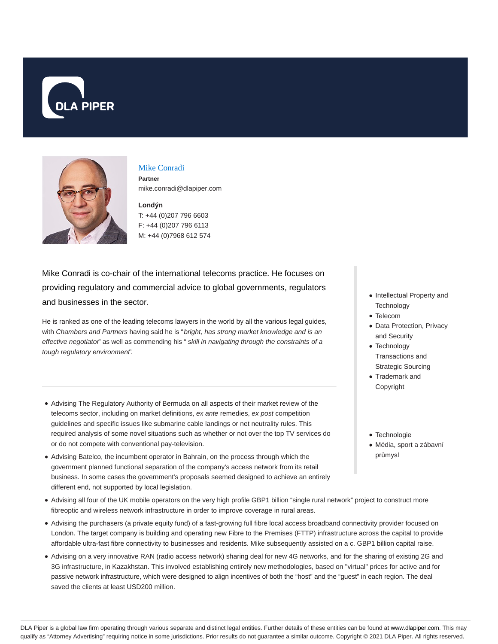



## Mike Conradi

**Partner** mike.conradi@dlapiper.com

## **Londýn** T: +44 (0)207 796 6603 F: +44 (0)207 796 6113 M: +44 (0)7968 612 574

Mike Conradi is co-chair of the international telecoms practice. He focuses on providing regulatory and commercial advice to global governments, regulators and businesses in the sector.

He is ranked as one of the leading telecoms lawyers in the world by all the various legal guides, with Chambers and Partners having said he is "bright, has strong market knowledge and is an effective negotiator" as well as commending his " skill in navigating through the constraints of a tough regulatory environment".

- Advising The Regulatory Authority of Bermuda on all aspects of their market review of the telecoms sector, including on market definitions, ex ante remedies, ex post competition guidelines and specific issues like submarine cable landings or net neutrality rules. This required analysis of some novel situations such as whether or not over the top TV services do or do not compete with conventional pay-television.
- Advising Batelco, the incumbent operator in Bahrain, on the process through which the government planned functional separation of the company's access network from its retail business. In some cases the government's proposals seemed designed to achieve an entirely different end, not supported by local legislation.
- Advising all four of the UK mobile operators on the very high profile GBP1 billion "single rural network" project to construct more fibreoptic and wireless network infrastructure in order to improve coverage in rural areas.
- Advising the purchasers (a private equity fund) of a fast-growing full fibre local access broadband connectivity provider focused on London. The target company is building and operating new Fibre to the Premises (FTTP) infrastructure across the capital to provide affordable ultra-fast fibre connectivity to businesses and residents. Mike subsequently assisted on a c. GBP1 billion capital raise.
- Advising on a very innovative RAN (radio access network) sharing deal for new 4G networks, and for the sharing of existing 2G and 3G infrastructure, in Kazakhstan. This involved establishing entirely new methodologies, based on "virtual" prices for active and for passive network infrastructure, which were designed to align incentives of both the "host" and the "guest" in each region. The deal saved the clients at least USD200 million.
- Intellectual Property and **Technology**
- Telecom
- Data Protection, Privacy and Security
- Technology Transactions and Strategic Sourcing
- Trademark and Copyright
- Technologie
- Média, sport a zábavní průmysl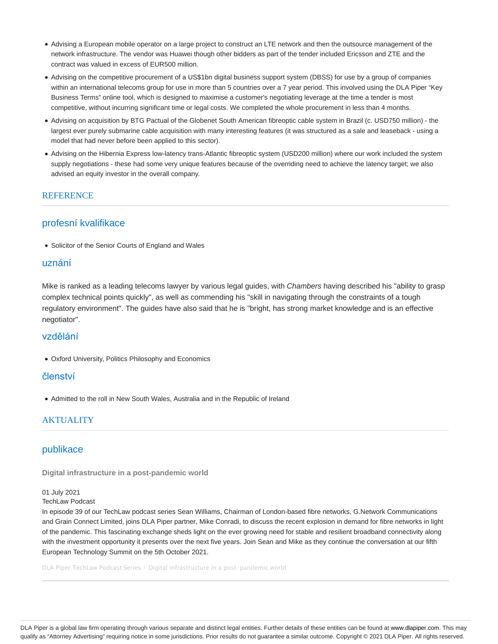- Advising a European mobile operator on a large project to construct an LTE network and then the outsource management of the network infrastructure. The vendor was Huawei though other bidders as part of the tender included Ericsson and ZTE and the contract was valued in excess of EUR500 million.
- Advising on the competitive procurement of a US\$1bn digital business support system (DBSS) for use by a group of companies within an international telecoms group for use in more than 5 countries over a 7 year period. This involved using the DLA Piper "Key Business Terms" online tool, which is designed to maximise a customer's negotiating leverage at the time a tender is most competitive, without incurring significant time or legal costs. We completed the whole procurement in less than 4 months.
- Advising on acquisition by BTG Pactual of the Globenet South American fibreoptic cable system in Brazil (c. USD750 million) the largest ever purely submarine cable acquisition with many interesting features (it was structured as a sale and leaseback - using a model that had never before been applied to this sector).
- Advising on the Hibernia Express low-latency trans-Atlantic fibreoptic system (USD200 million) where our work included the system supply negotiations - these had some very unique features because of the overriding need to achieve the latency target; we also advised an equity investor in the overall company.

## **REFERENCE**

# profesní kvalifikace

Solicitor of the Senior Courts of England and Wales

## uznání

Mike is ranked as a leading telecoms lawyer by various legal guides, with Chambers having described his "ability to grasp complex technical points quickly", as well as commending his "skill in navigating through the constraints of a tough regulatory environment". The guides have also said that he is "bright, has strong market knowledge and is an effective negotiator".

## vzdělání

Oxford University, Politics Philosophy and Economics

## členství

Admitted to the roll in New South Wales, Australia and in the Republic of Ireland

# **AKTUALITY**

# publikace

**Digital infrastructure in a post-pandemic world**

### 01 July 2021

TechLaw Podcast

In episode 39 of our TechLaw podcast series Sean Williams, Chairman of London-based fibre networks, G.Network Communications and Grain Connect Limited, joins DLA Piper partner, Mike Conradi, to discuss the recent explosion in demand for fibre networks in light of the pandemic. This fascinating exchange sheds light on the ever growing need for stable and resilient broadband connectivity along with the investment opportunity it presents over the next five years. Join Sean and Mike as they continue the conversation at our fifth European Technology Summit on the 5th October 2021.

DLA Piper TechLaw Podcast Series · Digital infrastructure in a post-pandemic world

DLA Piper is a global law firm operating through various separate and distinct legal entities. Further details of these entities can be found at www.dlapiper.com. This may qualify as "Attorney Advertising" requiring notice in some jurisdictions. Prior results do not guarantee a similar outcome. Copyright @ 2021 DLA Piper. All rights reserved.